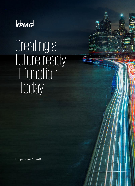

Creating a future-ready IT function - today

[kpmg.com/au/Future-IT](http://www.kpmg.com/au/Future-IT)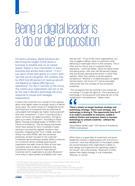# Being a digital leader is a 'do or die' proposition

For every company, digital solutions are becoming the oxygen which allows a business to breathe and run at market speed. Digital is now mainstream in every business and across every sector - it isn't just about those tech giants or unicorn startups that we all recognise. IDC predicts that by 2022 fully 80 percent of revenue growth will depend on digital offerings and operations1 . For the IT function of the future, this means your organisation can live or die by the way it delivers technology services, responds to issues and manages expectations.

It seems the world has now moved on from arguing about what digital means to actually using it to deliver some value. Our recent study of IT leadership found that 61percent of companies that are effective at using digital technologies see higher revenue growth than their competition2. In fact in manufacturing, a sector not known for digital innovation, the figure goes up to nearly 70 percent<sup>2</sup>. According to Steve Bates, Principal and global leader of KPMG's CIO Centre of Excellence, "We are seeing businesses which have existed for tens / hundreds of years starting to successfully digitally transform their business, integrating their front, middle, and back offices into what KPMG calls the connected enterprise, all laser focused on the customer." Companies demonstrating a greater ability to execute on a customer-centric strategy spanning the organisation are eight times as likely as their lesssuccessful peers to deliver experiences that consistently exceed customer expectations<sup>3</sup>. Customer-centric organisations are also 38 percent more likely to report greater profitability than ones

that are not<sup>2</sup>. "If you're like many organisations, you may struggle to deliver value to customers while delivering a meaningful return to the company. This is often due to a focus only on customer-facing operations," continues Bates. CEOs are taking notice and taking action, with over half (54 percent) saying they are actively disrupting the sector in which they operate, rather than waiting to be disrupted by competitors4. Whether it is called disruption or digital transformation, the future of IT will be inexorably intertwined with this concept of the connected enterprise.

"The companies that are winning in the market are not asking IT to keep the lights on. The importance of technology in driving growth and reducing risk is fully recognised in the boardroom," Bates notes.

**There's simply no longer business strategy and technology strategy. There's just strategy, and technology is driving it. The opportunity here for IT is to make it accessible to everyone, enable it without friction and empower teams to harness technology to unleash creativity - without the burden of it." There's**<br>There's<br>technolo<br>is to ma

Steve Bates, Global Lead - CIO Centre of Excellence, KPMG International

While there is a great deal of investment and senior leadership interest in keeping pace with tomorrow's customer, more than 80 percent of the leaders polled are concerned about their organisation's ability to both design and implement the operating model of the future5. And unfortunately, 78 percent of CIOs believe their digital strategy is only moderately effective, or worse<sup>2</sup>.

<sup>5</sup> KPMG Global transformation Study 2016 (KPMG International, 2016)



© 2019 KPMG International Cooperative ("KPMG International"), a Swiss entity. Member firms of the KPMG network of independent firms are affiliated with KPMG International. KPMG International provides<br>no client services. No

<sup>1</sup> IDC Press Release, IDC Launches New Framework to Accelerate Digital Transformation and Help

<sup>…</sup>Enterprises Become Digital Natives (IDC, Oct 2017)

<sup>&</sup>lt;sup>2</sup> Harvey Nash / KPMG CIO Survey 2018 (Harvey Nash and KPMG International, 2018)

<sup>3</sup> A commissioned study conducted by Forrester Consulting on behalf of KPMG International, Sept 2018, …of 1,299 global professionals involved with customer-centric strategy decisions at their organisations.

<sup>4</sup> KPMG CEO Outlook 2018 (KPMG International, 2018)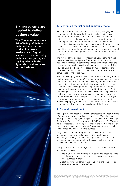### **Six ingredients are needed to deliver business value**

**The IT function runs a real risk of being left behind as their business partners work to innovate at market speed. Digital leaders that are outpacing their rivals are getting six key ingredients in the right mix to deliver value for the business.**

### **1. Rewriting a market speed operating model**

Moving to the future of IT means fundamentally changing the IT operating model - the way the IT estate works to bring value forward to the business - in ways that will enable connected enterprise benefits. Bates explains, "It's important to note that 'IT operating model' does not mean the 'IT function'. For many companies this means embracing an ecosystem of federated IT and business-led capabilities and external partners. Instead of a single monolithic structure, the operating model of the future is a blend of different structures and speeds tailored to meet product or service objectives."

The rewrite of the traditional to modern delivery operating models realigns capabilities and people from siloed projects and run activities to full stack customer experience teams that enable the delivery of new products and services at speed and scale. Agility is key - being able to flex delivery based on market demands and understanding that not all products have to be delivered at the same speed to maximise value.

Bates sums it up by saying, "The future of the IT operating model is really a recognition that the DNA of the enterprise needs to change, that the era of supply and demand IT is over, and that monolithic organisational structures don't effectively support the customer experience. The challenge for each organisation is to understand how much of any one element is needed to deliver value. Getting the mix right is where most companies will be investing over the next five years. "How many products do we need? How much cloud delivered by how many providers, where do we scale agile delivery, what portions of the value chain need ML/AI, what intellectual property do we retain versus buy? In short, an inflexible operating model will be the technical debt of the future."

#### **2. Dynamic investment**

Moving at market speed also means that resourcing - both in terms of money and people - needs to do the same. "There is a popular saying - 'No bucks, no Buck Rodgers,'" says Jason Byrd, leader of Technology Business Management at KPMG in the U.S. "You can have the fastest agile development shop in the market and leverage the latest toolchain, but if it takes 6-9 months to release capital to fund an idea you've defeated the purpose."

Large investments are losing favour to small, more frequent investments that return value quickly. Organisations are increasingly 'thinking like a VC,' placing smaller bets more often and incentivising experimentation. This is a significant shift for IT, finance and business stakeholders.

Companies that thrive in the digital era embrace the following IT investment principles:

- Fund value instead of projects: Shift to funding products linked to business or customer value which are connected to the overall business strategy.
- Adopt iterative and leaner funding: Be willing to fund products before all of the details are defined.

© 2019 KPMG International Cooperative ("KPMG International"), a Swiss entity. Member firms of the KPMG network of independent firms are affiliated with KPMG International. KPMG International provides no client services. No

any member firm. All rights reserved.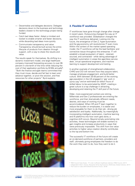- Decentralise and delegate decisions: Delegate decisions down to the business and technology leaders closest to the technology project being funded.
- Catch bad ideas faster: Adopt a mindset and toolset to enable smarter and faster decisions, while discarding bad ideas more quickly.
- Communicate transparency and value: Transparency should be built across the entire lifecycle of products from ideation through support, with a way to share the results and value.

The results speak for themselves. By shifting to a dynamic investment model, one large healthcare company improved forecasting accuracy to over 95 percent in one-tenth of the time while reducing the cost of their application portfolio by \$100k annually $6$ . "Both the finance and agile teams committed that they must move, decide and fail fast to learn and advance together, or pivot the solution, and free resources for other projects" Byrd explains.



#### **3. Flexible IT workforce**

IT workforces have gone through change after change in recent years. Outsourcing changed the way an IT workforce was provided. Globalisation changed the way the IT workforce delivered. Looking into the future, the emergence of Gen Z, hyper-automation and the gig economy will revolutionize IT even more. Within the context of the market speed operating model, the IT workforce will be the lead facilitator and connective tissue throughout the enterprise. IT will establish a broad ecosystem of talent - retained, sourced, and contracted - while taking advantage of intelligent automation in areas like agentless service desk, virtual operational engineers, and machine learning to support development and testing.

In another example of strengthened collaboration, CHRO and CIO will reinvent how they acquire talent, manage employee engagement, and build better culture. With between 20-30 percent of the working age population in the US engaged in 'gig' work in some way<sup>7</sup> and an estimated six billion hours of skilled labour to be automated by 2022<sup>8</sup>, creating a great culture is a top challenge in attracting, developing and retaining the IT skill pool of the future.

Older, more experienced workers are retiring. Millennials and Gen Z professionals are entering the workforce, and their dramatically different needs, desires, and ways of working must be accommodated. When HR and IT team together to reduce the burden on employees, it is easier and more enjoyable for them to do their job - driving job satisfaction and loyalty. Additionally, by meaningfully incorporating intelligent automation, machine learning and AI platforms into how work gets done, a cognitive shift occurs. Beyond simply automating rote activities, these technologies will enable workers to gain insights and increase productivity in ways that were previously impossible. This shift from low value activities to higher value creation directly contributes to the top and bottom line.

The successful IT workforce of the future will create an on-demand workforce of partners, providers and staff, ultimately giving employees the freedom to do the work they want to do, how they want to do it.

- <sup>6</sup> TBM Council Case Study IT's role in efficient healthcare delivery (TBM Council, 2017)<br><sup>7</sup> Independent Work: Choice, Necessity & the Gig Economy (McKinsey Global Institute, 2017)<br><sup>8</sup> The Future of Jobs 2018 (World Eco
- 

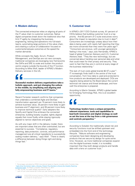### **4. Modern delivery**

The connected enterprise relies on aligning all parts of the IT value chain to customer outcomes. Native digital companies break down the traditional silos that limit IT agility by integrating the business, engineering, testing and operations into full-stack teams, automating large portions of the value chain, and creating a culture of collaboration focused on customer/employee outcomes at the speed the market demands.

While concepts like Agile, Scrum, Product Management, and DevOps are not new concepts, traditional companies are leveraging new frameworks like SAFe and SRE to scale and sustain the productcentric engine outside the bounds of the IT function. According to Mike Wolf, leader of KPMG's Modern Delivery services in the US,

**Successful modern delivery organisations take a holistic approach, and put changing the culture in the middle, by simplifying and aligning and f**<br>Success<sup>t</sup><br>holistic a<br>in the m<br>fully em **fully empowering business and IT teams."**

Recent Forrester research confirms that companies that undertake a combined Agile and DevOps transformation approach are 15 percent more likely to achieve business value, 25 percent more likely to gain business and IT alignment, and 35 percent more likely to improve technical quality<sup>9</sup>. Early adopters like Spotify and Capital One embrace the connected enterprise, building loosely coupled, tightly aligned squads that move fluidly while staying rigorously aligned to narrow objectives and goals.

As with any major shift in the delivery model, there are important areas that are often overlooked, but are essential to success. "Compliance, regulatory reporting, data protection, controls, and performance management are all critical ingredients to successfully scaling modern delivery," says Wolf. "There is clearly a difference between doing things right and doing things fast."

#### **5. Customer trust**

In KPMG's 2017 CEO Outlook survey, 61 percent of CEOs believe that building customer trust is a top priority. And 92 percent of C-suite executives worry about the impact to reputation due to trust in data<sup>10</sup>. Consumers are increasingly uneasy about how their data is being used, with nearly half reporting that they are more concerned than they were five years ago<sup>10</sup>. "Consumers are anxious, with younger generations feeling it the most," says Julio Hernandez, KPMG's head of global Customer Advisory and U.S. Customer Advisory lead. "They like new technology, but are concerned about handing over personal data and what that could mean for their privacy and security. They want to feel that they are in control at every stage of the business relationship."

This lack of trust costs global brands  $$2.5T$  a year<sup>11</sup>. IT increasingly finds itself in the centre of the trust conversation, from how data is used and protected to how products are developed and deployed. CIOs are regularly being asked by the Board about the current technical risk stance and threat landscape, and how well the enterprise is prepared.

According to Martin Sokalski, KPMG's global leader for Emerging Technology Risk, this is an excellent opportunity,

**Technology leaders have a unique perspective, relevant experience, tools and capabilities to lead both innovation and digital strategy as well as set the tone at the top from a risk governance and controls perspective." Technology**<br> **Technology**<br> **Contained bot**<br> **as set the** 

According to Sokalski the traditionally siloed risk and security functions must be shifted upstream and embedded into the front end of the technology lifecycle. "Mature software and engineering companies have been designing and developing products that are secure by design for quite some time. However, as more traditional companies expand into the digital business model, it is incredibly important that they both design products and handle data with a lens on customer trust."

9 Percentages calculated by KPMG International based on figures included within Forrester blog: ["Agile Only? No thanks! Agile + Devops, Please! Plus DevOps Is Slowly But Steadily Reaching](https://go.forrester.com/blogs/agile-only-no-thanks-agile-devops-please/)<br>Enterprise Scale", by Diego Lo Giudice, December 21, 2017

<sup>10</sup> Me, my life, my wallet (KPMG International, 2018)<br><sup>11</sup> Lack of trust costs brands \$2.5 trillion per year (Social Media Week, 2018)





© 2019 KPMG International Cooperative ("KPMG International"), a Swiss entity. Member firms of the KPMG network of independent firms are affiliated with KPMG International. KPMG International provides<br>no client services. No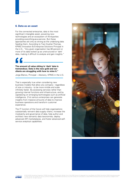#### **6. Data as an asset**

For the connected enterprise, data is the most significant intangible asset, powering new technologies and an ecosystem of third-parties providing everything-as-a-service. But these approaches are only as strong as the underlying data feeding them. According to Traci Gusher-Thomas, KPMG Innovation & Enterprise Solutions Principal in the U.S., "Any given organisation has 80 percent or more of its data locked up as unstructured or 'dark' data, making it difficult to analyse and gain insights."

## **The amount of value sitting in 'dark' data is tremendous. Data is the new gold and our clients are struggling with how to mine it." The amde tremend**<br> **Contract a**<br> **Contract a**<br> **Contract Blance**

Jorge Blanco, Principal – Advisory, KPMG in the U.S.

That is especially true when considering new business models that allow any company - regardless of size or industry - to be more nimble and scale infinitely faster. By accessing services rather than growing internal functions and infrastructure, and by capitalizing on emerging technologies such as artificial intelligence, 21st century enterprises can generate insights from massive amounts of data to improve business operations and transform customer experience.

The IT function of the future will help organisations substantially reinvent data supply chains, increase the modularity and governance of data, help author and architect new semantic data taxonomies, deploy advanced API marketplaces, and foster advanced selfservice analytical capabilities.







© 2019 KPMG International Cooperative ("KPMG International"), a Swiss entity. Member firms of the KPMG network of independent firms are affiliated with KPMG International. KPMG International provides<br>no client services. No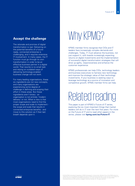### **Accept the challenge**

The rationale and promise of digital transformation is real. Delivering on the potential benefits of a futureready, connected enterprise is challenging, and it requires extensive IT involvement. In many cases, the IT function must go through its own transformation in order to be an effective business partner in a digital world. That rewrite is no small task and relying on outdated ways of delivering technology-enabled business change will not work.

For many leading organisations, these six ingredients are not new concepts, and many organisations are experiencing some degree of challenge in defining and scoping their effort in these areas. But these ingredients aren't binary - an organisation is not entirely 'modern delivery' or not. What is new is that most organisations need to find the proper scope and scale to implement the scope and scale that results in connected enterprise benefits - and move to this solution as if their last breath depends upon it.

## Why KPMG?

KPMG member firms recognise that CIOs and IT leaders face increasingly complex demands and challenges. Today, IT must advance the business, not just support it, with boards increasingly expecting returns on digital investments and the implementation of successful digital transformation strategies that will drive up agility, responsiveness and enhance the customer experience.

KPMG professionals can help CIOs, technology leaders and business executives to harness new technology and improve the strategic value of their technology investments. If your business is seeking ways to leverage technology as a source of innovation and competitive growth, KPMG member firms can help.

## Related reading

This paper is part of KPMG's Future of IT series, exploring the six most important things that market leaders will do in IT over the next five years. For more on the Future of IT and to read other papers in the series, please visit **[kpmg.com/au/Future-IT](http://www.kpmg.com/au/Future-IT)**.

© 2019 KPMG International Cooperative ("KPMG International"), a Swiss entity. Member firms of the KPMG network of<br>independent firms are affiliated with KPMG International. KPMG International provides no client services. No